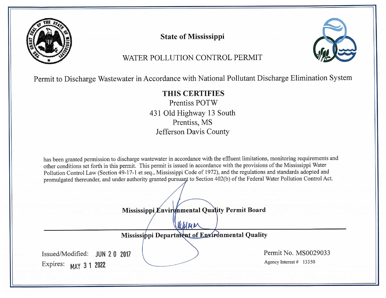

**State of Mississippi** 



# WATER POLLUTION CONTROL PERMIT

Permit to Discharge Wastewater in Accordance with National Pollutant Discharge Elimination System

# THIS CERTIFIES

Prentiss POTW 431 Old Highway 13 South Prentiss, MS Jefferson Davis County

has been granted permission to discharge wastewater in accordance with the effluent limitations, monitoring requirements and other conditions set forth in this permit. This permit is issued in accordance with the provisions of the Mississippi Water Pollution Control Law (Section 49-17-1 et seq., Mississippi Code of 1972), and the regulations and standards adopted and promulgated thereunder, and under authority granted pursuant to Section 402(b) of the Federal Water Pollution Control Act.

Mississippi Envirgnmental Quality Permit Board

Wellman Mississippi Department of Environmental Quality Permit No. MS0029033 Issued/Modified: JUN 20 2017 Agency Interest # 13350 Expires: MAY 3 1 2022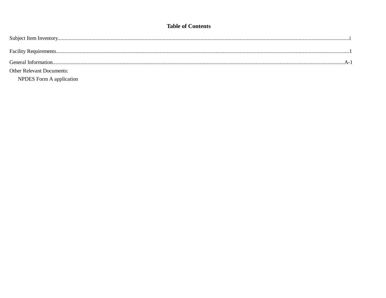### **Table of Contents**

| <b>Other Relevant Documents:</b> |  |
|----------------------------------|--|
| NPDES Form A application         |  |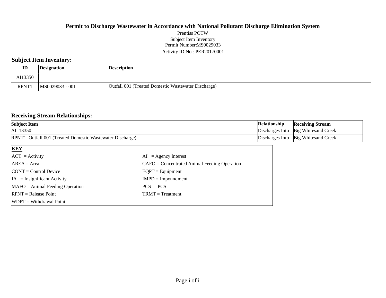### **Permit to Discharge Wastewater in Accordance with National Pollutant Discharge Elimination System** Permit Number:MS0029033 Activity ID No.: PER20170001 Prentiss POTW Subject Item Inventory

### **Subject Item Inventory:**

| ID          | Designation     | <b>Description</b>                                  |
|-------------|-----------------|-----------------------------------------------------|
| AI13350     |                 |                                                     |
| <b>RPNT</b> | MS0029033 - 001 | Outfall 001 (Treated Domestic Wastewater Discharge) |

### **Receiving Stream Relationships:**

| <b>Subject Item</b>                                       | Relationship | <b>Receiving Stream</b>               |
|-----------------------------------------------------------|--------------|---------------------------------------|
| AI 13350                                                  |              | Discharges Into   Big Whitesand Creek |
| RPNT1 Outfall 001 (Treated Domestic Wastewater Discharge) |              | Discharges Into Big Whitesand Creek   |

| <b>KEY</b>                        |                                                |
|-----------------------------------|------------------------------------------------|
| $ACT = Activity$                  | $AI = Agency Interest$                         |
| $AREA = Area$                     | $CAFO =$ Concentrated Animal Feeding Operation |
| $CONT = Control$ Device           | $EQPT = Equipment$                             |
| $IA = Insignificant Activity$     | $IMPD = Impoundment$                           |
| $MAFO = Animal Feeding Operation$ | $PCS = PCS$                                    |
| $RPNT = Release Point$            | $TRMT = Treatment$                             |
| $WDPT = Without$                  |                                                |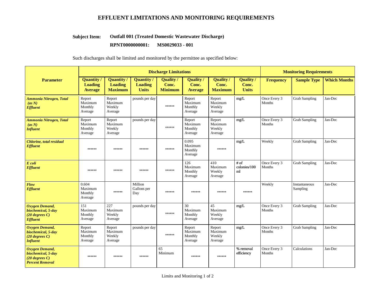### **EFFLUENT LIMITATIONS AND MONITORING REQUIREMENTS**

#### **Outfall 001 (Treated Domestic Wastewater Discharge) Subject Item:**

**RPNT0000000001: MS0029033 - 001** 

Such discharges shall be limited and monitored by the permittee as specified below:

|                                                                                           | <b>Discharge Limitations</b>                          |                                                       |                                                     |                                      |                                         |                                           | <b>Monitoring Requirements</b>            |                        |                           |                     |
|-------------------------------------------------------------------------------------------|-------------------------------------------------------|-------------------------------------------------------|-----------------------------------------------------|--------------------------------------|-----------------------------------------|-------------------------------------------|-------------------------------------------|------------------------|---------------------------|---------------------|
| <b>Parameter</b>                                                                          | <b>Quantity</b> /<br><b>Loading</b><br><b>Average</b> | <b>Quantity</b> /<br><b>Loading</b><br><b>Maximum</b> | <b>Quantity</b> /<br><b>Loading</b><br><b>Units</b> | Quality /<br>Conc.<br><b>Minimum</b> | Quality/<br>Conc.<br><b>Average</b>     | <b>Quality</b><br>Conc.<br><b>Maximum</b> | <b>Quality</b> /<br>Conc.<br><b>Units</b> | <b>Frequency</b>       | <b>Sample Type</b>        | <b>Which Months</b> |
| <b>Ammonia Nitrogen, Total</b><br>(as N)<br><b>Effluent</b>                               | Report<br>Maximum<br>Monthly<br>Average               | Report<br>Maximum<br>Weekly<br>Average                | pounds per day                                      | ******                               | Report<br>Maximum<br>Monthly<br>Average | Report<br>Maximum<br>Weekly<br>Average    | mg/L                                      | Once Every 3<br>Months | <b>Grab Sampling</b>      | Jan-Dec             |
| <b>Ammonia Nitrogen, Total</b><br>(as N)<br><b>Influent</b>                               | Report<br>Maximum<br>Monthly<br>Average               | Report<br>Maximum<br>Weekly<br>Average                | pounds per day                                      | ******                               | Report<br>Maximum<br>Monthly<br>Average | Report<br>Maximum<br>Weekly<br>Average    | mg/L                                      | Once Every 3<br>Months | <b>Grab Sampling</b>      | Jan-Dec             |
| Chlorine, total residual<br><b>Effluent</b>                                               | ******                                                | ******                                                | ******                                              | ******                               | 0.095<br>Maximum<br>Monthly<br>Average  | ******                                    | mg/L                                      | Weekly                 | <b>Grab Sampling</b>      | Jan-Dec             |
| $E$ coli<br><b>Effluent</b>                                                               | ******                                                | ******                                                | ******                                              | ******                               | 126<br>Maximum<br>Monthly<br>Average    | 410<br>Maximum<br>Weekly<br>Average       | $#$ of<br>colonies/100<br>ml              | Once Every 3<br>Months | <b>Grab Sampling</b>      | Jan-Dec             |
| Flow<br><b>Effluent</b>                                                                   | 0.604<br>Maximum<br>Monthly<br>Average                | ******                                                | Million<br>Gallons per<br>Day                       | ******                               | ******                                  | ******                                    | ******                                    | Weekly                 | Instantaneous<br>Sampling | Jan-Dec             |
| <b>Oxygen Demand,</b><br>biochemical, 5-day<br>$(20$ degrees C)<br><b>Effluent</b>        | 151<br>Maximum<br>Monthly<br>Average                  | 227<br>Maximum<br>Weekly<br>Average                   | pounds per day                                      | ******                               | 30<br>Maximum<br>Monthly<br>Average     | 45<br>Maximum<br>Weekly<br>Average        | mg/L                                      | Once Every 3<br>Months | <b>Grab Sampling</b>      | Jan-Dec             |
| <b>Oxygen Demand,</b><br>biochemical, 5-day<br>$(20$ degrees C)<br><b>Influent</b>        | Report<br>Maximum<br>Monthly<br>Average               | Report<br>Maximum<br>Weekly<br>Average                | pounds per day                                      | ******                               | Report<br>Maximum<br>Monthly<br>Average | Report<br>Maximum<br>Weekly<br>Average    | mg/L                                      | Once Every 3<br>Months | <b>Grab Sampling</b>      | Jan-Dec             |
| <b>Oxygen Demand,</b><br>biochemical, 5-day<br>$(20$ degrees C)<br><b>Percent Removal</b> | ******                                                | $******$                                              | ******                                              | 65<br>Minimum                        | ******                                  | ******                                    | % removal<br>efficiency                   | Once Every 3<br>Months | Calculations              | Jan-Dec             |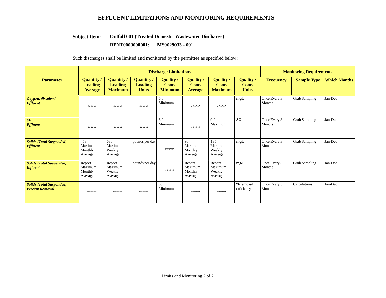### **EFFLUENT LIMITATIONS AND MONITORING REQUIREMENTS**

#### **Outfall 001 (Treated Domestic Wastewater Discharge) Subject Item:**

#### **RPNT0000000001: MS0029033 - 001**

Such discharges shall be limited and monitored by the permittee as specified below:

|                                                           | <b>Discharge Limitations</b>                   |                                                       |                                             |                                             |                                         |                                             |                                           |                               | <b>Monitoring Requirements</b> |                     |  |
|-----------------------------------------------------------|------------------------------------------------|-------------------------------------------------------|---------------------------------------------|---------------------------------------------|-----------------------------------------|---------------------------------------------|-------------------------------------------|-------------------------------|--------------------------------|---------------------|--|
| <b>Parameter</b>                                          | <b>Quantity</b> /<br>Loading<br><b>Average</b> | <b>Quantity /</b><br><b>Loading</b><br><b>Maximum</b> | Quantity/<br><b>Loading</b><br><b>Units</b> | <b>Quality</b> /<br>Conc.<br><b>Minimum</b> | Quality/<br>Conc.<br><b>Average</b>     | <b>Quality</b> /<br>Conc.<br><b>Maximum</b> | <b>Quality</b> /<br>Conc.<br><b>Units</b> | <b>Frequency</b>              | <b>Sample Type</b>             | <b>Which Months</b> |  |
| Oxygen, dissolved<br><b>Effluent</b>                      | ******                                         | ******                                                | $******$                                    | 6.0<br>Minimum                              | ******                                  | ******                                      | mg/L                                      | Once Every 3<br>Months        | <b>Grab Sampling</b>           | Jan-Dec             |  |
| pH<br><b>Effluent</b>                                     | ******                                         | ******                                                | $******$                                    | 6.0<br>Minimum                              | ******                                  | 9.0<br>Maximum                              | <b>SU</b>                                 | Once Every 3<br>Months        | <b>Grab Sampling</b>           | Jan-Dec             |  |
| <b>Solids (Total Suspended)</b><br><b>Effluent</b>        | 453<br>Maximum<br>Monthly<br>Average           | 680<br>Maximum<br>Weekly<br>Average                   | pounds per day                              | ******                                      | 90<br>Maximum<br>Monthly<br>Average     | 135<br>Maximum<br>Weekly<br>Average         | mg/L                                      | Once Every 3<br>Months        | <b>Grab Sampling</b>           | Jan-Dec             |  |
| <b>Solids (Total Suspended)</b><br><b>Influent</b>        | Report<br>Maximum<br>Monthly<br>Average        | Report<br>Maximum<br>Weekly<br>Average                | pounds per day                              | ******                                      | Report<br>Maximum<br>Monthly<br>Average | Report<br>Maximum<br>Weekly<br>Average      | mg/L                                      | Once Every 3<br><b>Months</b> | <b>Grab Sampling</b>           | Jan-Dec             |  |
| <b>Solids (Total Suspended)</b><br><b>Percent Removal</b> | ******                                         | ******                                                | $******$                                    | 65<br>Minimum                               | ******                                  | ******                                      | % removal<br>efficiency                   | Once Every 3<br>Months        | Calculations                   | Jan-Dec             |  |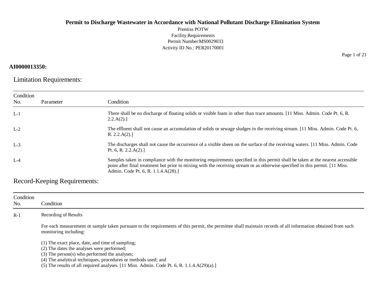Prentiss POTW Facility Requirements Permit Number:MS0029033 Activity ID No.: PER20170001

### **AI0000013350:**

Limitation Requirements:

| Condition<br>No. | Parameter | Condition                                                                                                                                                                                                                                                                                               |
|------------------|-----------|---------------------------------------------------------------------------------------------------------------------------------------------------------------------------------------------------------------------------------------------------------------------------------------------------------|
| $L-1$            |           | There shall be no discharge of floating solids or visible foam in other than trace amounts. [11 Miss. Admin. Code Pt. 6, R.<br>2.2.A(2).                                                                                                                                                                |
| $L-2$            |           | The effluent shall not cause an accumulation of solids or sewage sludges in the receiving stream. [11 Miss. Admin. Code Pt. 6,<br>R. $2.2.A(2).$                                                                                                                                                        |
| $L-3$            |           | The discharges shall not cause the occurrence of a visible sheen on the surface of the receiving waters. [11 Miss. Admin. Code<br>Pt. 6, R. 2.2. $A(2)$ .]                                                                                                                                              |
| $L-4$            |           | Samples taken in compliance with the monitoring requirements specified in this permit shall be taken at the nearest accessible<br>point after final treatment but prior to mixing with the receiving stream or as otherwise specified in this permit. [11 Miss.]<br>Admin. Code Pt. 6, R. 1.1.4.A(28).] |

Record-Keeping Requirements:

| Condition<br>No. | Condition                                                                                                                                                                             |  |  |  |  |  |
|------------------|---------------------------------------------------------------------------------------------------------------------------------------------------------------------------------------|--|--|--|--|--|
| $R-1$            | Recording of Results                                                                                                                                                                  |  |  |  |  |  |
|                  | For each measurement or sample taken pursuant to the requirements of this permit, the permittee shall maintain records of all information obtained from such<br>monitoring including: |  |  |  |  |  |
|                  | (1) The exact place, date, and time of sampling;<br>(2) The dates the analyses were performed;                                                                                        |  |  |  |  |  |
|                  | $(3)$ The person $(s)$ who performed the analyses;                                                                                                                                    |  |  |  |  |  |
|                  | (4) The analytical techniques, procedures or methods used; and<br>(5) The results of all required analyses. [11 Miss. Admin. Code Pt. 6, R. $1.1.4.A(29)(a).$ ]                       |  |  |  |  |  |

Page 1 of 21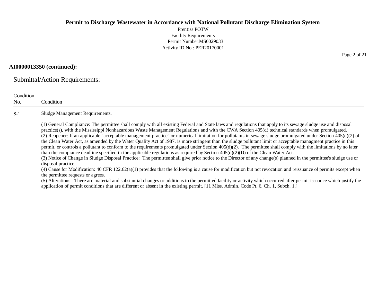Prentiss POTW Facility Requirements Permit Number:MS0029033 Activity ID No.: PER20170001

### **AI0000013350 (continued):**

Submittal/Action Requirements:

| Condition<br>No. | Condition                                                                                                                                                                                                                                                                                                                                                                                                                                                                                                                                                                                                                                                                                                                                                                                                                                                                                                                                                                                                                                                                                                                                                                                                                                                                                                                                                                                                                                                                                                                                                                                                                                                                                 |
|------------------|-------------------------------------------------------------------------------------------------------------------------------------------------------------------------------------------------------------------------------------------------------------------------------------------------------------------------------------------------------------------------------------------------------------------------------------------------------------------------------------------------------------------------------------------------------------------------------------------------------------------------------------------------------------------------------------------------------------------------------------------------------------------------------------------------------------------------------------------------------------------------------------------------------------------------------------------------------------------------------------------------------------------------------------------------------------------------------------------------------------------------------------------------------------------------------------------------------------------------------------------------------------------------------------------------------------------------------------------------------------------------------------------------------------------------------------------------------------------------------------------------------------------------------------------------------------------------------------------------------------------------------------------------------------------------------------------|
| $S-1$            | Sludge Management Requirements.                                                                                                                                                                                                                                                                                                                                                                                                                                                                                                                                                                                                                                                                                                                                                                                                                                                                                                                                                                                                                                                                                                                                                                                                                                                                                                                                                                                                                                                                                                                                                                                                                                                           |
|                  | (1) General Compliance: The permittee shall comply with all existing Federal and State laws and regulations that apply to its sewage sludge use and disposal<br>practice(s), with the Mississippi Nonhazardous Waste Management Regulations and with the CWA Section 405(d) technical standards when promulgated.<br>(2) Reopener: If an applicable "acceptable management practice" or numerical limitation for pollutants in sewage sludge promulgated under Section $405(d)(2)$ of<br>the Clean Water Act, as amended by the Water Quality Act of 1987, is more stringent than the sludge pollutant limit or acceptable managment practice in this<br>permit, or controls a pollutant to conform to the requirements promulgated under Section $405(d)(2)$ . The permittee shall comply with the limitations by no later<br>than the compiance deadline specified in the applicable regulations as required by Section $405(d)(2)(D)$ of the Clean Water Act.<br>(3) Notice of Change in Sludge Disposal Practice: The permittee shall give prior notice to the Director of any change(s) planned in the permittee's sludge use or<br>disposal practice.<br>(4) Cause for Modification: $40$ CFR $122.62(a)(1)$ provides that the following is a cause for modification but not revocation and reissuance of permits except when<br>the permittee requests or agrees.<br>(5) Alterations: There are material and substantial changes or additions to the permitted facility or activity which occurred after permit issuance which justify the<br>application of permit conditions that are different or absent in the existing permit. [11 Miss. Admin. Code Pt. 6, Ch. 1, Subch. 1.] |

Page 2 of 21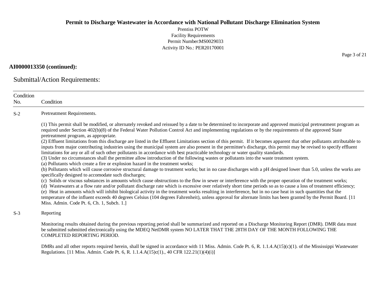Prentiss POTW Facility Requirements Permit Number:MS0029033 Activity ID No.: PER20170001

### **AI0000013350 (continued):**

Submittal/Action Requirements:

| Condition<br>No. | Condition                                                                                                                                                                                                                                                                                                                                                                                                                                                                                                                                                                                                                                                                                                                                                                                                                                                                                                                                                                                                                                                                                                                                                                                                                                                                                                                                                                                                                                                                                                                                                                                                                                                                                                                                                                                                                                                                                                                                                                                                                               |
|------------------|-----------------------------------------------------------------------------------------------------------------------------------------------------------------------------------------------------------------------------------------------------------------------------------------------------------------------------------------------------------------------------------------------------------------------------------------------------------------------------------------------------------------------------------------------------------------------------------------------------------------------------------------------------------------------------------------------------------------------------------------------------------------------------------------------------------------------------------------------------------------------------------------------------------------------------------------------------------------------------------------------------------------------------------------------------------------------------------------------------------------------------------------------------------------------------------------------------------------------------------------------------------------------------------------------------------------------------------------------------------------------------------------------------------------------------------------------------------------------------------------------------------------------------------------------------------------------------------------------------------------------------------------------------------------------------------------------------------------------------------------------------------------------------------------------------------------------------------------------------------------------------------------------------------------------------------------------------------------------------------------------------------------------------------------|
| $S-2$            | Pretreatment Requirements.                                                                                                                                                                                                                                                                                                                                                                                                                                                                                                                                                                                                                                                                                                                                                                                                                                                                                                                                                                                                                                                                                                                                                                                                                                                                                                                                                                                                                                                                                                                                                                                                                                                                                                                                                                                                                                                                                                                                                                                                              |
|                  | (1) This permit shall be modified, or alternately revoked and reissued by a date to be determined to incorporate and approved municipal pretreatment program as<br>required under Section 402(b)(8) of the Federal Water Pollution Control Act and implementing regulations or by the requirements of the approved State<br>pretreatment program, as appropriate.<br>(2) Effluent limitations from this discharge are listed in the Effluent Limitations section of this permit. If it becomes apparent that other pollutants attributable to<br>inputs from major contributing industries using the municipal system are also present in the permittee's discharge, this permit may be revised to specify effluent<br>limitations for any or all of such other pollutants in accordance with best practicable technology or water quality standards.<br>(3) Under no circumstances shall the permittee allow introduction of the following wastes or pollutants into the waste treatment system.<br>(a) Pollutants which create a fire or explosion hazard in the treatment works;<br>(b) Pollutants which will cause corrosive structural damage to treatment works; but in no case discharges with a pH designed lower than 5.0, unless the works are<br>specifically designed to accomodate such discharges;<br>(c) Solids or viscous substances in amounts which cause obstructions to the flow in sewer or interference with the proper operation of the treatment works;<br>(d) Wastewaters at a flow rate and/or pollutant discharge rate which is excessive over relatively short time periods so as to cause a loss of treatment efficiency;<br>(e) Heat in amounts which will inhibit biological activity in the treatment works resulting in interference, but in no case heat in such quantities that the<br>temperature of the influent exceeds 40 degrees Celsius (104 degrees Fahrenheit), unless approval for alternate limits has been granted by the Permit Board. [11<br>Miss. Admin. Code Pt. 6, Ch. 1, Subch. 1.] |
| $S-3$            | Reporting                                                                                                                                                                                                                                                                                                                                                                                                                                                                                                                                                                                                                                                                                                                                                                                                                                                                                                                                                                                                                                                                                                                                                                                                                                                                                                                                                                                                                                                                                                                                                                                                                                                                                                                                                                                                                                                                                                                                                                                                                               |
|                  | Monitoring results obtained during the previous reporting period shall be summarized and reported on a Discharge Monitoring Report (DMR). DMR data must<br>be submitted submitted electronically using the MDEQ NetDMR system NO LATER THAT THE 28TH DAY OF THE MONTH FOLLOWING THE<br>COMPLETED REPORTING PERIOD.                                                                                                                                                                                                                                                                                                                                                                                                                                                                                                                                                                                                                                                                                                                                                                                                                                                                                                                                                                                                                                                                                                                                                                                                                                                                                                                                                                                                                                                                                                                                                                                                                                                                                                                      |
|                  | DMRs and all other reports required herein, shall be signed in accordance with 11 Miss. Admin. Code Pt. 6, R. 1.1.4.A(15)(c)(1). of the Mississippi Wastewater<br>Regulations. [11 Miss. Admin. Code Pt. 6, R. 1.1.4.A(15)c(1)., 40 CFR 122.21(1)(4)(i)]                                                                                                                                                                                                                                                                                                                                                                                                                                                                                                                                                                                                                                                                                                                                                                                                                                                                                                                                                                                                                                                                                                                                                                                                                                                                                                                                                                                                                                                                                                                                                                                                                                                                                                                                                                                |

Page 3 of 21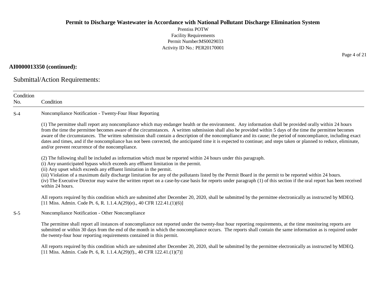Prentiss POTW Facility Requirements Permit Number:MS0029033 Activity ID No.: PER20170001

### **AI0000013350 (continued):**

Submittal/Action Requirements:

| Condition<br>No. | Condition                                                                                                                                                                                                                                                                                                                                                                                                                                                                                                                                                                                                                                                                                                           |
|------------------|---------------------------------------------------------------------------------------------------------------------------------------------------------------------------------------------------------------------------------------------------------------------------------------------------------------------------------------------------------------------------------------------------------------------------------------------------------------------------------------------------------------------------------------------------------------------------------------------------------------------------------------------------------------------------------------------------------------------|
| $S-4$            | Noncompliance Notification - Twenty-Four Hour Reporting                                                                                                                                                                                                                                                                                                                                                                                                                                                                                                                                                                                                                                                             |
|                  | (1) The permittee shall report any noncompliance which may endanger health or the environment. Any information shall be provided orally within 24 hours<br>from the time the permittee becomes aware of the circumstances. A written submission shall also be provided within 5 days of the time the permittee becomes<br>aware of the circumstances. The written submission shall contain a description of the noncompliance and its cause; the period of noncompliance, including exact<br>dates and times, and if the noncompliance has not been corrected, the anticipated time it is expected to continue; and steps taken or planned to reduce, eliminate,<br>and/or prevent recurrence of the noncompliance. |
|                  | (2) The following shall be included as information which must be reported within 24 hours under this paragraph.<br>(i) Any unanticipated bypass which exceeds any effluent limitation in the permit.<br>(ii) Any upset which exceeds any effluent limitation in the permit.<br>(iii) Violation of a maximum daily discharge limitation for any of the pollutants listed by the Permit Board in the permit to be reported within 24 hours.<br>(iv) The Executive Director may waive the written report on a case-by-case basis for reports under paragraph (1) of this section if the oral report has been received<br>within 24 hours.                                                                              |
|                  | All reports required by this condition which are submitted after December 20, 2020, shall be submitted by the permittee electronically as instructed by MDEQ.<br>[11 Miss. Admin. Code Pt. 6, R. 1.1.4.A(29)(e)., 40 CFR 122.41.(1)(6)]                                                                                                                                                                                                                                                                                                                                                                                                                                                                             |
| $S-5$            | Noncompliance Notification - Other Noncompliance                                                                                                                                                                                                                                                                                                                                                                                                                                                                                                                                                                                                                                                                    |
|                  | The permittee shall report all instances of noncompliance not reported under the twenty-four hour reporting requirements, at the time monitoring reports are<br>submitted or within 30 days from the end of the month in which the noncompliance occurs. The reports shall contain the same information as is required under<br>the twenty-four hour reporting requirements contained in this permit.                                                                                                                                                                                                                                                                                                               |
|                  | All reports required by this condition which are submitted after December 20, 2020, shall be submitted by the permittee electronically as instructed by MDEQ.<br>[11 Miss. Admin. Code Pt. 6, R. 1.1.4.A(29)(f)., 40 CFR 122.41.(1)(7)]                                                                                                                                                                                                                                                                                                                                                                                                                                                                             |

Page 4 of 21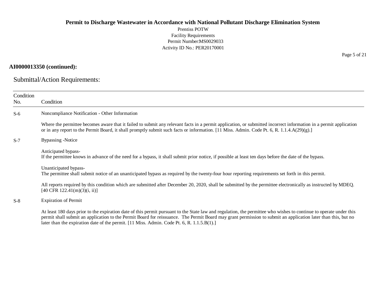Prentiss POTW Facility Requirements Permit Number:MS0029033 Activity ID No.: PER20170001

### **AI0000013350 (continued):**

Submittal/Action Requirements:

| Condition<br>No. | Condition                                                                                                                                                                                                                                                                                                                                                                                                                                                                    |
|------------------|------------------------------------------------------------------------------------------------------------------------------------------------------------------------------------------------------------------------------------------------------------------------------------------------------------------------------------------------------------------------------------------------------------------------------------------------------------------------------|
| $S-6$            | Noncompliance Notification - Other Information                                                                                                                                                                                                                                                                                                                                                                                                                               |
|                  | Where the permittee becomes aware that it failed to submit any relevant facts in a permit application, or submitted incorrect information in a permit application<br>or in any report to the Permit Board, it shall promptly submit such facts or information. [11 Miss. Admin. Code Pt. 6, R. 1.1.4.A(29)(g).]                                                                                                                                                              |
| $S-7$            | <b>Bypassing -Notice</b>                                                                                                                                                                                                                                                                                                                                                                                                                                                     |
|                  | Anticipated bypass-<br>If the permittee knows in advance of the need for a bypass, it shall submit prior notice, if possible at least ten days before the date of the bypass.                                                                                                                                                                                                                                                                                                |
|                  | Unanticipated bypass-<br>The permittee shall submit notice of an unanticipated bypass as required by the twenty-four hour reporting requirements set forth in this permit.                                                                                                                                                                                                                                                                                                   |
|                  | All reports required by this condition which are submitted after December 20, 2020, shall be submitted by the permittee electronically as instructed by MDEQ.<br>$[40 \text{ CFR } 122.41 \text{ (m)}(3) \text{ (i, ii)}]$                                                                                                                                                                                                                                                   |
| $S-8$            | <b>Expiration of Permit</b>                                                                                                                                                                                                                                                                                                                                                                                                                                                  |
|                  | At least 180 days prior to the expiration date of this permit pursuant to the State law and regulation, the permittee who wishes to continue to operate under this<br>permit shall submit an application to the Permit Board for reissuance. The Permit Board may grant permission to submit an application later than this, but no<br>later than the expiration date of the permit. $[11 \text{ Miss. } \text{Admin. } \text{Code Pt. } 6, \text{R. } 1.1.5. \text{B}(1).]$ |

Page 5 of 21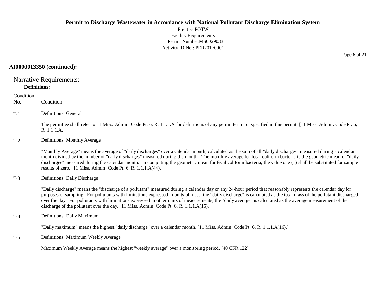Prentiss POTW Facility Requirements Permit Number:MS0029033 Activity ID No.: PER20170001

### **AI0000013350 (continued):**

Narrative Requirements:

### **Definitions:**

| Condition<br>No. | Condition                                                                                                                                                                                                                                                                                                                                                                                                                                                                                                                                                                                   |
|------------------|---------------------------------------------------------------------------------------------------------------------------------------------------------------------------------------------------------------------------------------------------------------------------------------------------------------------------------------------------------------------------------------------------------------------------------------------------------------------------------------------------------------------------------------------------------------------------------------------|
| $T-1$            | Definitions: General                                                                                                                                                                                                                                                                                                                                                                                                                                                                                                                                                                        |
|                  | The permittee shall refer to 11 Miss. Admin. Code Pt. 6, R. 1.1.1.A for definitions of any permit term not specified in this permit. [11 Miss. Admin. Code Pt. 6,<br>R. 1.1.1.A.]                                                                                                                                                                                                                                                                                                                                                                                                           |
| $T-2$            | Definitions: Monthly Average                                                                                                                                                                                                                                                                                                                                                                                                                                                                                                                                                                |
|                  | "Monthly Average" means the average of "daily discharges" over a calendar month, calculated as the sum of all "daily discharges" measured during a calendar<br>month divided by the number of "daily discharges" measured during the month. The monthly average for fecal coliform bacteria is the geometric mean of "daily<br>discharges" measured during the calendar month. In computing the geometric mean for fecal coliform bacteria, the value one (1) shall be substituted for sample<br>results of zero. [11 Miss. Admin. Code Pt. 6, R. 1.1.1.A(44).]                             |
| $T-3$            | Definitions: Daily Discharge                                                                                                                                                                                                                                                                                                                                                                                                                                                                                                                                                                |
|                  | "Daily discharge" means the "discharge of a pollutant" measured during a calendar day or any 24-hour period that reasonably represents the calendar day for<br>purposes of sampling. For pollutants with limitations expressed in units of mass, the "daily discharge" is calculated as the total mass of the pollutant discharged<br>over the day. For pollutants with limitations expressed in other units of measurements, the "daily average" is calculated as the average measurement of the<br>discharge of the pollutant over the day. [11 Miss. Admin. Code Pt. 6, R. 1.1.1.A(15).] |
| $T-4$            | Definitions: Daily Maximum                                                                                                                                                                                                                                                                                                                                                                                                                                                                                                                                                                  |
|                  | "Daily maximum" means the highest "daily discharge" over a calendar month. [11 Miss. Admin. Code Pt. 6, R. 1.1.1.A(16).]                                                                                                                                                                                                                                                                                                                                                                                                                                                                    |
| $T-5$            | Definitions: Maximum Weekly Average                                                                                                                                                                                                                                                                                                                                                                                                                                                                                                                                                         |
|                  | Maximum Weekly Average means the highest "weekly average" over a monitoring period. [40 CFR 122]                                                                                                                                                                                                                                                                                                                                                                                                                                                                                            |

Page 6 of 21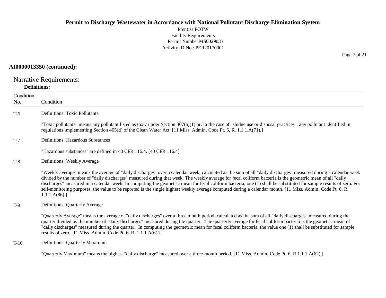Prentiss POTW Facility Requirements Permit Number:MS0029033 Activity ID No.: PER20170001

### **AI0000013350 (continued):**

Narrative Requirements:

#### **Definitions:**

| Condition<br>No. | Condition                                                                                                                                                                                                                                                                                                                                                                                                                                                                                                                                                                                                                                                                      |
|------------------|--------------------------------------------------------------------------------------------------------------------------------------------------------------------------------------------------------------------------------------------------------------------------------------------------------------------------------------------------------------------------------------------------------------------------------------------------------------------------------------------------------------------------------------------------------------------------------------------------------------------------------------------------------------------------------|
| $T-6$            | <b>Definitions: Toxic Pollutants</b>                                                                                                                                                                                                                                                                                                                                                                                                                                                                                                                                                                                                                                           |
|                  | "Toxic pollutants" means any pollutant listed as toxic under Section $307(a)(1)$ or, in the case of "sludge use or disposal practices", any pollutant identified in<br>regulations implementing Section 405(d) of the Clean Water Act. [11 Miss. Admin. Code Pt. 6, R. 1.1.1.A(71).]                                                                                                                                                                                                                                                                                                                                                                                           |
| $T-7$            | Definitions: Hazardous Substances                                                                                                                                                                                                                                                                                                                                                                                                                                                                                                                                                                                                                                              |
|                  | "Hazardous substances" are defined in 40 CFR 116.4. [40 CFR 116.4]                                                                                                                                                                                                                                                                                                                                                                                                                                                                                                                                                                                                             |
| $T-8$            | Definitions: Weekly Average                                                                                                                                                                                                                                                                                                                                                                                                                                                                                                                                                                                                                                                    |
|                  | "Weekly average" means the average of "daily discharges" over a calendar week, calculated as the sum of all "daily discharges" measured during a calendar week<br>divided by the number of "daily discharges" measured during that week. The weekly average for fecal coliform bacteria is the geometric mean of all "daily<br>discharges" measured in a calendar week. In computing the geometric mean for fecal coliform bacteria, one (1) shall be substituted for sample results of zero. For<br>self-monitoring purposes, the value to be reported is the single highest weekly average computed during a calendar month. [11 Miss. Admin. Code Pt. 6, R.<br>1.1.1.A(86). |
| $T-9$            | Definitions: Quarterly Average                                                                                                                                                                                                                                                                                                                                                                                                                                                                                                                                                                                                                                                 |
|                  | "Quarterly Average" means the average of "daily discharges" over a three month period, calculated as the sum of all "daily discharges" measured during the<br>quarter divided by the number of "daily discharges" measured during the quarter. The quarterly average for fecal coliform bacteria is the geometric mean of<br>"daily discharges" measured during the quarter. In computing the geometric mean for fecal coliform bacteria, the value one (1) shall be substituted for sample<br>results of zero. [11 Miss. Admin. Code Pt. 6, R. 1.1.1.A(61).]                                                                                                                  |
| $T-10$           | Definitions: Quarterly Maximum                                                                                                                                                                                                                                                                                                                                                                                                                                                                                                                                                                                                                                                 |
|                  | "Quarterly Maximum" means the highest "daily discharge" measured over a three-month period. [11 Miss. Admin. Code Pt. 6, R.1.1.1.A(62).]                                                                                                                                                                                                                                                                                                                                                                                                                                                                                                                                       |

Page 7 of 21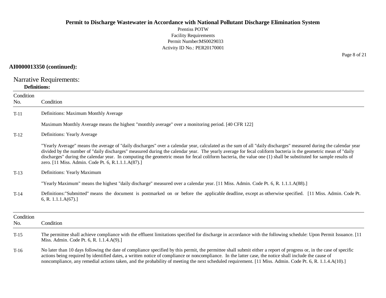Prentiss POTW Facility Requirements Permit Number:MS0029033 Activity ID No.: PER20170001

### **AI0000013350 (continued):**

Narrative Requirements:

### **Definitions:**

| Condition<br>No. | Condition                                                                                                                                                                                                                                                                                                                                                                                                                                                                                                                                                  |
|------------------|------------------------------------------------------------------------------------------------------------------------------------------------------------------------------------------------------------------------------------------------------------------------------------------------------------------------------------------------------------------------------------------------------------------------------------------------------------------------------------------------------------------------------------------------------------|
| $T-11$           | Definitions: Maximum Monthly Average                                                                                                                                                                                                                                                                                                                                                                                                                                                                                                                       |
|                  | Maximum Monthly Average means the highest "monthly average" over a monitoring period. [40 CFR 122]                                                                                                                                                                                                                                                                                                                                                                                                                                                         |
| $T-12$           | Definitions: Yearly Average                                                                                                                                                                                                                                                                                                                                                                                                                                                                                                                                |
|                  | "Yearly Average" means the average of "daily discharges" over a calendar year, calculated as the sum of all "daily discharges" measured during the calendar year<br>divided by the number of "daily discharges" measured during the calendar year. The yearly average for fecal coliform bacteria is the geometric mean of "daily<br>discharges" during the calendar year. In computing the geometric mean for fecal coliform bacteria, the value one (1) shall be substituted for sample results of<br>zero. [11 Miss. Admin. Code Pt. 6, R.1.1.1.A(87).] |
| $T-13$           | Definitions: Yearly Maximum                                                                                                                                                                                                                                                                                                                                                                                                                                                                                                                                |
|                  | "Yearly Maximum" means the highest "daily discharge" measured over a calendar year. [11 Miss. Admin. Code Pt. 6, R. 1.1.1.A(88).]                                                                                                                                                                                                                                                                                                                                                                                                                          |
| $T-14$           | Definitions: "Submitted" means the document is postmarked on or before the applicable deadline, except as otherwise specified. [11 Miss. Admin. Code Pt.<br>6, R. 1.1.1. $A(67)$ .]                                                                                                                                                                                                                                                                                                                                                                        |
| Condition<br>No. | Condition                                                                                                                                                                                                                                                                                                                                                                                                                                                                                                                                                  |
| $T-15$           | The permittee shall achieve compliance with the effluent limitations specified for discharge in accordance with the following schedule: Upon Permit Issuance. [11]<br>Miss. Admin. Code Pt. 6, R. 1.1.4.A(9).]                                                                                                                                                                                                                                                                                                                                             |
| $T-16$           | No later than 10 days following the date of compliance specified by this permit, the permittee shall submit either a report of progress or, in the case of specific<br>actions being required by identified dates, a written notice of compliance or noncompliance. In the latter case, the notice shall include the cause of<br>noncompliance, any remedial actions taken, and the probability of meeting the next scheduled requirement. [11 Miss. Admin. Code Pt. 6, R. 1.1.4.A(10).]                                                                   |

Page 8 of 21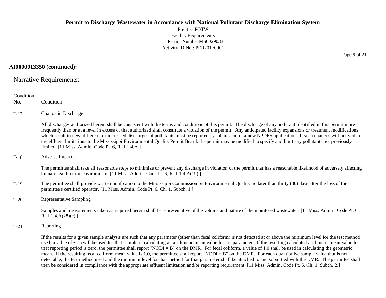Prentiss POTW Facility Requirements Permit Number:MS0029033 Activity ID No.: PER20170001

**AI0000013350 (continued):**

Narrative Requirements:

| Condition<br>No. | Condition                                                                                                                                                                                                                                                                                                                                                                                                                                                                                                                                                                                                                                                                                                                                                                                                                                                                                                                                                                                                 |
|------------------|-----------------------------------------------------------------------------------------------------------------------------------------------------------------------------------------------------------------------------------------------------------------------------------------------------------------------------------------------------------------------------------------------------------------------------------------------------------------------------------------------------------------------------------------------------------------------------------------------------------------------------------------------------------------------------------------------------------------------------------------------------------------------------------------------------------------------------------------------------------------------------------------------------------------------------------------------------------------------------------------------------------|
| $T-17$           | Change in Discharge                                                                                                                                                                                                                                                                                                                                                                                                                                                                                                                                                                                                                                                                                                                                                                                                                                                                                                                                                                                       |
|                  | All discharges authorized herein shall be consistent with the terms and conditions of this permit. The discharge of any pollutant identified in this permit more<br>frequently than or at a level in excess of that authorized shall constitute a violation of the permit. Any anticipated facility expansions or treatment modifications<br>which result in new, different, or increased discharges of pollutants must be reported by submission of a new NPDES application. If such changes will not violate<br>the effluent limitations to the Mississippi Environmental Quality Permit Board, the permit may be modified to specify and limit any pollutants not previously<br>limited. [11 Miss. Admin. Code Pt. 6, R. 1.1.4.A.]                                                                                                                                                                                                                                                                     |
| $T-18$           | <b>Adverse Impacts</b>                                                                                                                                                                                                                                                                                                                                                                                                                                                                                                                                                                                                                                                                                                                                                                                                                                                                                                                                                                                    |
|                  | The permittee shall take all reasonable steps to minimize or prevent any discharge in violation of the permit that has a reasonable likelihood of adversely affecting<br>human health or the environment. [11 Miss. Admin. Code Pt. 6, R. 1.1.4.A(19).]                                                                                                                                                                                                                                                                                                                                                                                                                                                                                                                                                                                                                                                                                                                                                   |
| $T-19$           | The permittee shall provide written notification to the Mississippi Commission on Environmental Quality no later than thirty (30) days after the loss of the<br>permittee's certified operator. [11 Miss. Admin. Code Pt. 6, Ch. 1, Subch. 1.]                                                                                                                                                                                                                                                                                                                                                                                                                                                                                                                                                                                                                                                                                                                                                            |
| $T-20$           | <b>Representative Sampling</b>                                                                                                                                                                                                                                                                                                                                                                                                                                                                                                                                                                                                                                                                                                                                                                                                                                                                                                                                                                            |
|                  | Samples and measurements taken as required herein shall be representative of the volume and nature of the monitored wastewater. [11 Miss. Admin. Code Pt. 6,<br>R. $1.1.4.A(28)(e).$                                                                                                                                                                                                                                                                                                                                                                                                                                                                                                                                                                                                                                                                                                                                                                                                                      |
| $T-21$           | Reporting                                                                                                                                                                                                                                                                                                                                                                                                                                                                                                                                                                                                                                                                                                                                                                                                                                                                                                                                                                                                 |
|                  | If the results for a given sample analysis are such that any parameter (other than fecal coliform) is not detected at or above the minimum level for the test method<br>used, a value of zero will be used for that sample in calculating an arithmetic mean value for the parameter. If the resulting calculated arithmetic mean value for<br>that reporting period is zero, the permittee shall report "NODI = $B$ " on the DMR. For fecal coliform, a value of 1.0 shall be used in calculating the geometric<br>mean. If the resulting fecal coliform mean value is 1.0, the permittee shall report "NODI = B" on the DMR. For each quantitative sample value that is not<br>detectable, the test method used and the minimum level for that method for that parameter shall be attached to and submitted with the DMR. The permittee shall<br>then be considered in compliance with the appropriate effluent limitation and/or reporting requirement. [11 Miss. Admin. Code Pt. 6, Ch. 1, Subch. 2.] |

Page 9 of 21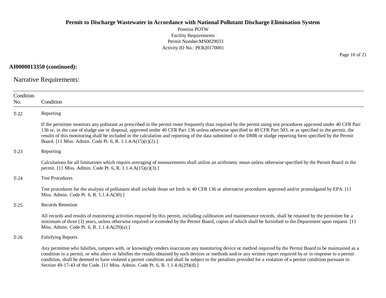Prentiss POTW Facility Requirements Permit Number:MS0029033 Activity ID No.: PER20170001

**AI0000013350 (continued):**

Narrative Requirements:

| Condition<br>No. | Condition                                                                                                                                                                                                                                                                                                                                                                                                                                                                                                                                                                                |
|------------------|------------------------------------------------------------------------------------------------------------------------------------------------------------------------------------------------------------------------------------------------------------------------------------------------------------------------------------------------------------------------------------------------------------------------------------------------------------------------------------------------------------------------------------------------------------------------------------------|
| $T-22$           | Reporting                                                                                                                                                                                                                                                                                                                                                                                                                                                                                                                                                                                |
|                  | If the permittee monitors any pollutant as prescribed in the permit more frequently than required by the permit using test procedures approved under 40 CFR Part<br>136 or, in the case of sludge use or disposal, approved under 40 CFR Part 136 unless otherwise specified in 40 CFR Part 503, or as specified in the permit, the<br>results of this monitoring shall be included in the calculation and reporting of the data submitted in the DMR or sludge reporting form specified by the Permit<br>Board. [11 Miss. Admin. Code Pt. 6, R. 1.1.4.A(15)(c)(2).]                     |
| $T-23$           | Reporting                                                                                                                                                                                                                                                                                                                                                                                                                                                                                                                                                                                |
|                  | Calculations for all limitations which require averaging of measurements shall utilize an arithmetic mean unless otherwise specified by the Permit Board in the<br>permit. [11 Miss. Admin. Code Pt. 6, R. 1.1.4.A(15)(c)(3).]                                                                                                                                                                                                                                                                                                                                                           |
| $T-24$           | <b>Test Procedures</b>                                                                                                                                                                                                                                                                                                                                                                                                                                                                                                                                                                   |
|                  | Test procedures for the analysis of pollutants shall include those set forth in 40 CFR 136 or alternative procedures approved and/or promulgated by EPA. [11]<br>Miss. Admin. Code Pt. 6, R. 1.1.4.A(30).]                                                                                                                                                                                                                                                                                                                                                                               |
| $T-25$           | Records Retention                                                                                                                                                                                                                                                                                                                                                                                                                                                                                                                                                                        |
|                  | All records and results of monitoring activities required by this permit, including calibration and maintenance records, shall be retained by the permittee for a<br>minimum of three (3) years, unless otherwise required or extended by the Permit Board, copies of which shall be furnished to the Department upon request. [11]<br>Miss. Admin. Code Pt. 6, R. 1.1.4.A(29)(a).]                                                                                                                                                                                                      |
| $T-26$           | <b>Falsifying Reports</b>                                                                                                                                                                                                                                                                                                                                                                                                                                                                                                                                                                |
|                  | Any permittee who falsifies, tampers with, or knowingly renders inaccurate any monitoring device or method required by the Permit Board to be maintained as a<br>condition in a permit, or who alters or falsifies the results obtained by such devices or methods and/or any written report required by or in response to a permit<br>condition, shall be deemed to have violated a permit condition and shall be subject to the penalties provided for a violation of a permit condition pursuant to<br>Section 49-17-43 of the Code. [11 Miss. Admin. Code Pt. 6, R. 1.1.4.A(29)(d).] |

Page 10 of 21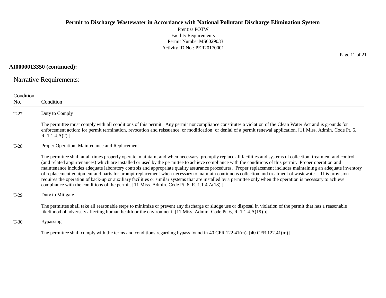Prentiss POTW Facility Requirements Permit Number:MS0029033 Activity ID No.: PER20170001

**AI0000013350 (continued):**

Narrative Requirements:

| Condition<br>No. | Condition                                                                                                                                                                                                                                                                                                                                                                                                                                                                                                                                                                                                                                                                                                                                                                                                                                                                                                                |
|------------------|--------------------------------------------------------------------------------------------------------------------------------------------------------------------------------------------------------------------------------------------------------------------------------------------------------------------------------------------------------------------------------------------------------------------------------------------------------------------------------------------------------------------------------------------------------------------------------------------------------------------------------------------------------------------------------------------------------------------------------------------------------------------------------------------------------------------------------------------------------------------------------------------------------------------------|
| $T-27$           | Duty to Comply                                                                                                                                                                                                                                                                                                                                                                                                                                                                                                                                                                                                                                                                                                                                                                                                                                                                                                           |
|                  | The permittee must comply with all conditions of this permit. Any permit noncompliance constitutes a violation of the Clean Water Act and is grounds for<br>enforcement action; for permit termination, revocation and reissuance, or modification; or denial of a permit renewal application. [11 Miss. Admin. Code Pt. 6,<br>R. 1.1.4.A(2).                                                                                                                                                                                                                                                                                                                                                                                                                                                                                                                                                                            |
| T-28             | Proper Operation, Maintenance and Replacement                                                                                                                                                                                                                                                                                                                                                                                                                                                                                                                                                                                                                                                                                                                                                                                                                                                                            |
|                  | The permittee shall at all times properly operate, maintain, and when necessary, promptly replace all facilities and systems of collection, treatment and control<br>(and related appurtenances) which are installed or used by the permittee to achieve compliance with the conditions of this permit. Proper operation and<br>maintenance includes adequate laboratory controls and appropriate quality assurance procedures. Proper replacement includes maintaining an adequate inventory<br>of replacement equipment and parts for prompt replacement when necessary to maintain continuous collection and treatment of wastewater. This provision<br>requires the operation of back-up or auxiliary facilities or similar systems that are installed by a permittee only when the operation is necessary to achieve<br>compliance with the conditions of the permit. [11 Miss. Admin. Code Pt. 6, R. 1.1.4.A(18).] |
| $T-29$           | Duty to Mitigate                                                                                                                                                                                                                                                                                                                                                                                                                                                                                                                                                                                                                                                                                                                                                                                                                                                                                                         |
|                  | The permittee shall take all reasonable steps to minimize or prevent any discharge or sludge use or disposal in violation of the permit that has a reasonable<br>likelihood of adversely affecting human health or the environment. [11 Miss. Admin. Code Pt. 6, R. 1.1.4.A(19).)]                                                                                                                                                                                                                                                                                                                                                                                                                                                                                                                                                                                                                                       |
| $T-30$           | <b>Bypassing</b>                                                                                                                                                                                                                                                                                                                                                                                                                                                                                                                                                                                                                                                                                                                                                                                                                                                                                                         |
|                  | The permittee shall comply with the terms and conditions regarding bypass found in 40 CFR 122.41(m). $[40 \text{ CFR } 122.41 \text{ (m)}]$                                                                                                                                                                                                                                                                                                                                                                                                                                                                                                                                                                                                                                                                                                                                                                              |

Page 11 of 21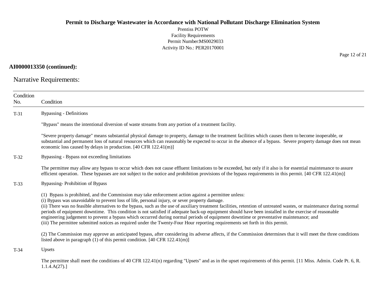Prentiss POTW Facility Requirements Permit Number:MS0029033 Activity ID No.: PER20170001

### **AI0000013350 (continued):**

Narrative Requirements:

| Condition |                                                                                                                                                                                                                                                                                                                                                                                                                                                                                                                                                                                                                                                                                                                                                                                                                    |
|-----------|--------------------------------------------------------------------------------------------------------------------------------------------------------------------------------------------------------------------------------------------------------------------------------------------------------------------------------------------------------------------------------------------------------------------------------------------------------------------------------------------------------------------------------------------------------------------------------------------------------------------------------------------------------------------------------------------------------------------------------------------------------------------------------------------------------------------|
| No.       | Condition                                                                                                                                                                                                                                                                                                                                                                                                                                                                                                                                                                                                                                                                                                                                                                                                          |
| $T-31$    | <b>Bypassing - Definitions</b>                                                                                                                                                                                                                                                                                                                                                                                                                                                                                                                                                                                                                                                                                                                                                                                     |
|           | "Bypass" means the intentional diversion of waste streams from any portion of a treatment facility.                                                                                                                                                                                                                                                                                                                                                                                                                                                                                                                                                                                                                                                                                                                |
|           | "Severe property damage" means substantial physical damage to property, damage to the treatment facilities which causes them to become inoperable, or<br>substantial and permanent loss of natural resources which can reasonably be expected to occur in the absence of a bypass. Severe property damage does not mean<br>economic loss caused by delays in production. [40 CFR 122.41(m)]                                                                                                                                                                                                                                                                                                                                                                                                                        |
| $T-32$    | Bypassing - Bypass not exceeding limitations                                                                                                                                                                                                                                                                                                                                                                                                                                                                                                                                                                                                                                                                                                                                                                       |
|           | The permittee may allow any bypass to occur which does not cause effluent limitations to be exceeded, but only if it also is for essential maintenance to assure<br>efficient operation. These bypasses are not subject to the notice and prohibition provisions of the bypass requirements in this permit. [40 CFR 122.41(m)]                                                                                                                                                                                                                                                                                                                                                                                                                                                                                     |
| $T-33$    | Bypassing-Prohibition of Bypass                                                                                                                                                                                                                                                                                                                                                                                                                                                                                                                                                                                                                                                                                                                                                                                    |
|           | (1) Bypass is prohibited, and the Commission may take enforcement action against a permittee unless:<br>(i) Bypass was unavoidable to prevent loss of life, personal injury, or sever property damage.<br>(ii) There was no feasible alternatives to the bypass, such as the use of auxiliary treatment facilities, retention of untreated wastes, or maintenance during normal<br>periods of equipment downtime. This condition is not satisfied if adequate back-up equipment should have been installed in the exercise of reasonable<br>engineering judgement to prevent a bypass which occurred during normal periods of equipment downtime or preventative maintenance; and<br>(iii) The permittee submitted notices as required under the Twenty-Four Hour reporting requirements set forth in this permit. |
|           | (2) The Commission may approve an anticipated bypass, after considering its adverse affects, if the Commission determines that it will meet the three conditions<br>listed above in paragraph $(1)$ of this permit condition. [40 CFR 122.41(m)]                                                                                                                                                                                                                                                                                                                                                                                                                                                                                                                                                                   |
| $T-34$    | Upsets                                                                                                                                                                                                                                                                                                                                                                                                                                                                                                                                                                                                                                                                                                                                                                                                             |
|           | The permittee shall meet the conditions of 40 CFR 122.41(n) regarding "Upsets" and as in the upset requirements of this permit. [11 Miss. Admin. Code Pt. 6, R.<br>1.1.4.A(27).                                                                                                                                                                                                                                                                                                                                                                                                                                                                                                                                                                                                                                    |

Page 12 of 21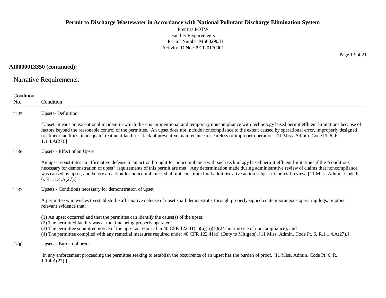Prentiss POTW Facility Requirements Permit Number:MS0029033 Activity ID No.: PER20170001

**AI0000013350 (continued):**

Narrative Requirements:

| Condition<br>No. | Condition                                                                                                                                                                                                                                                                                                                                                                                                                                                                                                                     |
|------------------|-------------------------------------------------------------------------------------------------------------------------------------------------------------------------------------------------------------------------------------------------------------------------------------------------------------------------------------------------------------------------------------------------------------------------------------------------------------------------------------------------------------------------------|
| $T-35$           | <b>Upsets-Definition</b>                                                                                                                                                                                                                                                                                                                                                                                                                                                                                                      |
|                  | "Upset" means an exceptional incident in which there is unintentional and temporary noncompliance with technology based permit effluent limitations because of<br>factors beyond the reasonable control of the permittee. An upset does not include noncompliance to the extent caused by operational error, improperly designed<br>treatment facilities, inadequate treatment facilities, lack of preventive maintenance, or careless or improper operation. [11 Miss. Admin. Code Pt. 6, R.<br>1.1.4.A(27).                 |
| $T-36$           | Upsets - Effect of an Upset                                                                                                                                                                                                                                                                                                                                                                                                                                                                                                   |
|                  | An upset constitutes an affirmative defense to an action brought for noncompliance with such technology based permit effluent limitations if the "conditions"<br>necessary for demonstration of upset" requirements of this permit are met. Any determination made during administrative review of claims that noncompliance<br>was caused by upset, and before an action for noncompliance, shall not constitute final administrative action subject to judicial review. [11 Miss. Admin. Code Pt.<br>6, R.1.1.4. $A(27)$ .] |
| $T-37$           | Upsets - Conditions necessary for demonstration of upset                                                                                                                                                                                                                                                                                                                                                                                                                                                                      |
|                  | A permittee who wishes to establish the affirmative defense of upset shall demonstrate, through properly signed contemporaneous operating logs, or other<br>relevant evidence that:                                                                                                                                                                                                                                                                                                                                           |
|                  | (1) An upset occurred and that the permittee can identify the cause(s) of the upset;<br>(2) The permitted facility was at the time being properly operated;<br>(3) The permittee submitted notice of the upset as required in 40 CFR 122.41( $L$ )( $6$ )( $i$ i)( $B$ )( $24$ -hour notice of noncompliance); and<br>(4) The permittee complied with any remedial measures required under 40 CFR 122.41(d) (Duty to Mitigate). [11 Miss. Admin. Code Pt. 6, R.1.1.4.A(27).]                                                  |
| $T-38$           | Upsets - Burden of proof                                                                                                                                                                                                                                                                                                                                                                                                                                                                                                      |
|                  | In any enforcement proceeding the permittee seeking to establish the occurrence of an upset has the burden of proof. [11 Miss. Admin. Code Pt. 6, R.<br>1.1.4.A(27).                                                                                                                                                                                                                                                                                                                                                          |

Page 13 of 21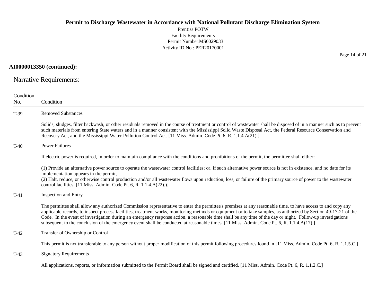Prentiss POTW Facility Requirements Permit Number:MS0029033 Activity ID No.: PER20170001

**AI0000013350 (continued):**

Narrative Requirements:

| Condition<br>No. | Condition                                                                                                                                                                                                                                                                                                                                                                                                                                                                                                                                                                                                                                  |
|------------------|--------------------------------------------------------------------------------------------------------------------------------------------------------------------------------------------------------------------------------------------------------------------------------------------------------------------------------------------------------------------------------------------------------------------------------------------------------------------------------------------------------------------------------------------------------------------------------------------------------------------------------------------|
| $T-39$           | <b>Removed Substances</b>                                                                                                                                                                                                                                                                                                                                                                                                                                                                                                                                                                                                                  |
|                  | Solids, sludges, filter backwash, or other residuals removed in the course of treatment or control of wastewater shall be disposed of in a manner such as to prevent<br>such materials from entering State waters and in a manner consistent with the Mississippi Solid Waste Disposal Act, the Federal Resource Conservation and<br>Recovery Act, and the Mississippi Water Pollution Control Act. [11 Miss. Admin. Code Pt. 6, R. 1.1.4.A(21).]                                                                                                                                                                                          |
| $T-40$           | <b>Power Failures</b>                                                                                                                                                                                                                                                                                                                                                                                                                                                                                                                                                                                                                      |
|                  | If electric power is required, in order to maintain compliance with the conditions and prohibitions of the permit, the permittee shall either:                                                                                                                                                                                                                                                                                                                                                                                                                                                                                             |
|                  | (1) Provide an alternative power source to operate the wastewater control facilities; or, if such alternative power source is not in existence, and no date for its<br>implementation appears in the permit,<br>(2) Halt, reduce, or otherwise control production and/or all wastewater flows upon reduction, loss, or failure of the primary source of power to the wastewater<br>control facilities. [11 Miss. Admin. Code Pt. 6, R. $1.1.4.A(22).$ ]                                                                                                                                                                                    |
| $T-41$           | <b>Inspection and Entry</b>                                                                                                                                                                                                                                                                                                                                                                                                                                                                                                                                                                                                                |
|                  | The permittee shall allow any authorized Commission representative to enter the permittee's premises at any reasonable time, to have access to and copy any<br>applicable records, to inspect process facilities, treatment works, monitoring methods or equipment or to take samples, as authorized by Section 49-17-21 of the<br>Code. In the event of investigation during an emergency response action, a reasonable time shall be any time of the day or night. Follow-up investigations<br>subsequent to the conclusion of the emergency event shall be conducted at reasonable times. [11 Miss. Admin. Code Pt. 6, R. 1.1.4.A(17).] |
| $T-42$           | Transfer of Ownership or Control                                                                                                                                                                                                                                                                                                                                                                                                                                                                                                                                                                                                           |
|                  | This permit is not transferable to any person without proper modification of this permit following procedures found in [11 Miss. Admin. Code Pt. 6, R. 1.1.5.C.]                                                                                                                                                                                                                                                                                                                                                                                                                                                                           |
| $T-43$           | <b>Signatory Requirements</b>                                                                                                                                                                                                                                                                                                                                                                                                                                                                                                                                                                                                              |
|                  | All applications, reports, or information submitted to the Permit Board shall be signed and certified. [11 Miss. Admin. Code Pt. 6, R. 1.1.2.C.]                                                                                                                                                                                                                                                                                                                                                                                                                                                                                           |

Page 14 of 21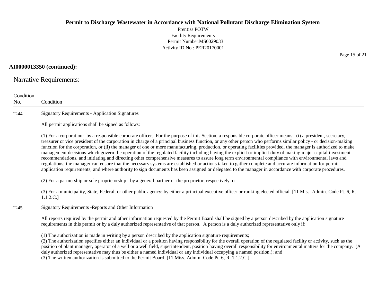Prentiss POTW Facility Requirements Permit Number:MS0029033 Activity ID No.: PER20170001

### **AI0000013350 (continued):**

Narrative Requirements:

| Condition<br>No. | Condition                                                                                                                                                                                                                                                                                                                                                                                                                                                                                                                                                                                                                                                                                                                                                                                                                                                                                                                                                                                                                                                                                                                                      |
|------------------|------------------------------------------------------------------------------------------------------------------------------------------------------------------------------------------------------------------------------------------------------------------------------------------------------------------------------------------------------------------------------------------------------------------------------------------------------------------------------------------------------------------------------------------------------------------------------------------------------------------------------------------------------------------------------------------------------------------------------------------------------------------------------------------------------------------------------------------------------------------------------------------------------------------------------------------------------------------------------------------------------------------------------------------------------------------------------------------------------------------------------------------------|
| $T-44$           | <b>Signatory Requirements - Application Signatures</b>                                                                                                                                                                                                                                                                                                                                                                                                                                                                                                                                                                                                                                                                                                                                                                                                                                                                                                                                                                                                                                                                                         |
|                  | All permit applications shall be signed as follows:                                                                                                                                                                                                                                                                                                                                                                                                                                                                                                                                                                                                                                                                                                                                                                                                                                                                                                                                                                                                                                                                                            |
|                  | (1) For a corporation: by a responsible corporate officer. For the purpose of this Section, a responsible corporate officer means: (i) a president, secretary,<br>treasurer or vice president of the corporation in charge of a principal business function, or any other person who performs similar policy - or decision-making<br>function for the corporation, or (ii) the manager of one or more manufacturing, production, or operating facilities provided, the manager is authorized to make<br>management decisions which govern the operation of the regulated facility including having the explicit or implicit duty of making major capital investment<br>recommendations, and initiating and directing other comprehensive measures to assure long term environmental compliance with environmental laws and<br>regulations; the manager can ensure that the necessary systems are established or actions taken to gather complete and accurate information for permit<br>application requirements; and where authority to sign documents has been assigned or delegated to the manager in accordance with corporate procedures. |
|                  | (2) For a partnership or sole proprietorship: by a general partner or the proprietor, respectively; or                                                                                                                                                                                                                                                                                                                                                                                                                                                                                                                                                                                                                                                                                                                                                                                                                                                                                                                                                                                                                                         |
|                  | (3) For a municipality, State, Federal, or other public agency: by either a principal executive officer or ranking elected official. [11 Miss. Admin. Code Pt. 6, R.<br>1.1.2.C.]                                                                                                                                                                                                                                                                                                                                                                                                                                                                                                                                                                                                                                                                                                                                                                                                                                                                                                                                                              |
| $T-45$           | Signatory Requirements - Reports and Other Information                                                                                                                                                                                                                                                                                                                                                                                                                                                                                                                                                                                                                                                                                                                                                                                                                                                                                                                                                                                                                                                                                         |
|                  | All reports required by the permit and other information requested by the Permit Board shall be signed by a person described by the application signature<br>requirements in this permit or by a duly authorized representative of that person. A person is a duly authorized representative only if:                                                                                                                                                                                                                                                                                                                                                                                                                                                                                                                                                                                                                                                                                                                                                                                                                                          |
|                  | (1) The authorization is made in writing by a person described by the application signature requirements;<br>(2) The authorization specifies either an individual or a position having responsibility for the overall operation of the regulated facility or activity, such as the<br>position of plant manager, operator of a well or a well field, superintendent, position having overall responsibility for environmental matters for the company. (A<br>duly authorized representative may thus be either a named individual or any individual occupying a named position.); and<br>$\alpha$ at $\alpha$ in the same form interest at $\alpha$ in $\alpha$ math $\alpha$ in                                                                                                                                                                                                                                                                                                                                                                                                                                                               |

(3) The written authorization is submitted to the Permit Board. [11 Miss. Admin. Code Pt. 6, R. 1.1.2.C.]

Page 15 of 21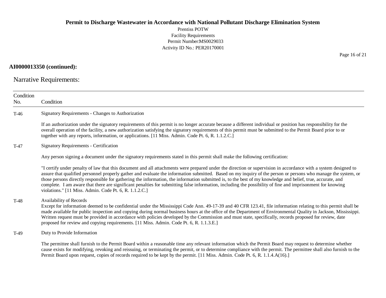Prentiss POTW Facility Requirements Permit Number:MS0029033 Activity ID No.: PER20170001

### **AI0000013350 (continued):**

Narrative Requirements:

| Condition<br>No. | Condition                                                                                                                                                                                                                                                                                                                                                                                                                                                                                                                                                                                                                                                                                                                |
|------------------|--------------------------------------------------------------------------------------------------------------------------------------------------------------------------------------------------------------------------------------------------------------------------------------------------------------------------------------------------------------------------------------------------------------------------------------------------------------------------------------------------------------------------------------------------------------------------------------------------------------------------------------------------------------------------------------------------------------------------|
| $T-46$           | Signatory Requirements - Changes to Authorization                                                                                                                                                                                                                                                                                                                                                                                                                                                                                                                                                                                                                                                                        |
|                  | If an authorization under the signatory requirements of this permit is no longer accurate because a different individual or position has responsibility for the<br>overall operation of the facility, a new authorization satisfying the signatory requirements of this permit must be submitted to the Permit Board prior to or<br>together with any reports, information, or applications. [11 Miss. Admin. Code Pt. 6, R. 1.1.2.C.]                                                                                                                                                                                                                                                                                   |
| T-47             | <b>Signatory Requirements - Certification</b>                                                                                                                                                                                                                                                                                                                                                                                                                                                                                                                                                                                                                                                                            |
|                  | Any person signing a document under the signatory requirements stated in this permit shall make the following certification:                                                                                                                                                                                                                                                                                                                                                                                                                                                                                                                                                                                             |
|                  | "I certify under penalty of law that this document and all attachments were prepared under the direction or supervision in accordance with a system designed to<br>assure that qualified personnel properly gather and evaluate the information submitted. Based on my inquiry of the person or persons who manage the system, or<br>those persons directly responsible for gathering the information, the information submitted is, to the best of my knowledge and belief, true, accurate, and<br>complete. I am aware that there are significant penalties for submitting false information, including the possibility of fine and imprisonment for knowing<br>violations." [11 Miss. Admin. Code Pt. 6, R. 1.1.2.C.] |
| $T-48$           | Availability of Records<br>Except for information deemed to be confidential under the Mississippi Code Ann. 49-17-39 and 40 CFR 123.41, file information relating to this permit shall be<br>made available for public inspection and copying during normal business hours at the office of the Department of Environmental Quality in Jackson, Mississippi.<br>Written request must be provided in accordance with policies developed by the Commission and must state, specifically, records proposed for review, date<br>proposed for review and copying requirements. [11 Miss. Admin. Code Pt. 6, R. 1.1.3.E.]                                                                                                      |
| T-49             | Duty to Provide Information                                                                                                                                                                                                                                                                                                                                                                                                                                                                                                                                                                                                                                                                                              |
|                  | The permittee shall furnish to the Permit Board within a reasonable time any relevant information which the Permit Board may request to determine whether<br>cause exists for modifying, revoking and reissuing, or terminating the permit, or to determine compliance with the permit. The permittee shall also furnish to the<br>Permit Board upon request, copies of records required to be kept by the permit. [11 Miss. Admin. Code Pt. 6, R. 1.1.4.A(16).]                                                                                                                                                                                                                                                         |

Page 16 of 21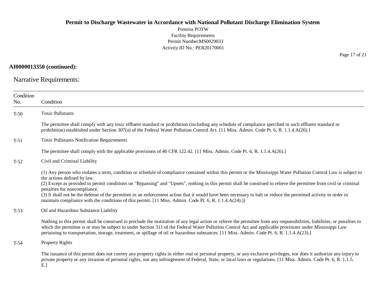Prentiss POTW Facility Requirements Permit Number:MS0029033 Activity ID No.: PER20170001

**AI0000013350 (continued):**

Narrative Requirements:

| Condition<br>No. | Condition                                                                                                                                                                                                                                                                                                                                                                                                                                                                                                                                                                                                                                                                            |
|------------------|--------------------------------------------------------------------------------------------------------------------------------------------------------------------------------------------------------------------------------------------------------------------------------------------------------------------------------------------------------------------------------------------------------------------------------------------------------------------------------------------------------------------------------------------------------------------------------------------------------------------------------------------------------------------------------------|
| $T-50$           | <b>Toxic Pollutants</b>                                                                                                                                                                                                                                                                                                                                                                                                                                                                                                                                                                                                                                                              |
|                  | The permittee shall comply with any toxic effluent standard or prohibition (including any schedule of compliance specified in such effluent standard or<br>prohibition) established under Section 307(a) of the Federal Water Pollution Control Act. [11 Miss. Admin. Code Pt. 6, R. 1.1.4.A(26).]                                                                                                                                                                                                                                                                                                                                                                                   |
| $T-51$           | <b>Toxic Pollutants Notification Requirements</b>                                                                                                                                                                                                                                                                                                                                                                                                                                                                                                                                                                                                                                    |
|                  | The permittee shall comply with the applicable provisions of 40 CFR 122.42. [11 Miss. Admin. Code Pt. 6, R. 1.1.4.A(26).]                                                                                                                                                                                                                                                                                                                                                                                                                                                                                                                                                            |
| $T-52$           | Civil and Criminal Liability                                                                                                                                                                                                                                                                                                                                                                                                                                                                                                                                                                                                                                                         |
|                  | (1) Any person who violates a term, condition or schedule of compliance contained within this permit or the Mississippi Water Pollution Control Law is subject to<br>the actions defined by law.<br>(2) Except as provided in permit conditions on "Bypassing" and "Upsets", nothing in this permit shall be construed to relieve the permittee from civil or criminal<br>penalties for noncompliance.<br>(3) It shall not be the defense of the permittee in an enforcement action that it would have been necessary to halt or reduce the permitted activity in order to<br>maintain compliance with the conditions of this permit. [11 Miss. Admin. Code Pt. 6, R. 1.1.4.A(24).)] |
| $T-53$           | Oil and Hazardous Substance Liability                                                                                                                                                                                                                                                                                                                                                                                                                                                                                                                                                                                                                                                |
|                  | Nothing in this permit shall be construed to preclude the institution of any legal action or relieve the permittee from any responsibilities, liabilities, or penalties to<br>which the permittee is or may be subject to under Section 311 of the Federal Water Pollution Control Act and applicable provisions under Mississippi Law<br>pertaining to transportation, storage, treatment, or spillage of oil or hazardous substances. [11 Miss. Admin. Code Pt. 6, R. 1.1.4.A(23).]                                                                                                                                                                                                |
| $T-54$           | <b>Property Rights</b>                                                                                                                                                                                                                                                                                                                                                                                                                                                                                                                                                                                                                                                               |
|                  | The issuance of this permit does not convey any property rights in either real or personal property, or any exclusive privileges, nor does it authorize any injury to<br>private property or any invasion of personal rights, nor any infringement of Federal, State, or local laws or regulations. [11 Miss. Admin. Code Pt. 6, R. 1.1.5.<br>$E.$ ]                                                                                                                                                                                                                                                                                                                                 |

Page 17 of 21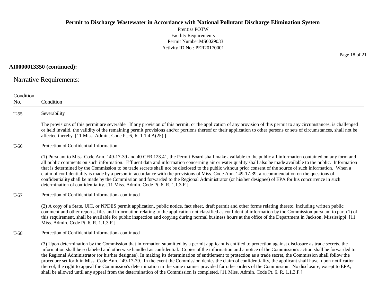Prentiss POTW Facility Requirements Permit Number:MS0029033 Activity ID No.: PER20170001

**AI0000013350 (continued):**

Narrative Requirements:

| Condition<br>No. | Condition                                                                                                                                                                                                                                                                                                                                                                                                                                                                                                                                                                                                                                                                                                                                                                                                                                                                                                                                                            |
|------------------|----------------------------------------------------------------------------------------------------------------------------------------------------------------------------------------------------------------------------------------------------------------------------------------------------------------------------------------------------------------------------------------------------------------------------------------------------------------------------------------------------------------------------------------------------------------------------------------------------------------------------------------------------------------------------------------------------------------------------------------------------------------------------------------------------------------------------------------------------------------------------------------------------------------------------------------------------------------------|
| $T-55$           | Severability                                                                                                                                                                                                                                                                                                                                                                                                                                                                                                                                                                                                                                                                                                                                                                                                                                                                                                                                                         |
|                  | The provisions of this permit are severable. If any provision of this permit, or the application of any provision of this permit to any circumstances, is challenged<br>or held invalid, the validity of the remaining permit provisions and/or portions thereof or their application to other persons or sets of circumstances, shall not be<br>affected thereby. [11 Miss. Admin. Code Pt. 6, R. 1.1.4.A(25).]                                                                                                                                                                                                                                                                                                                                                                                                                                                                                                                                                     |
| $T-56$           | Protection of Confidential Information                                                                                                                                                                                                                                                                                                                                                                                                                                                                                                                                                                                                                                                                                                                                                                                                                                                                                                                               |
|                  | (1) Pursuant to Miss. Code Ann. '49-17-39 and 40 CFR 123.41, the Permit Board shall make available to the public all information contained on any form and<br>all public comments on such information. Effluent data and information concerning air or water quality shall also be made available to the public. Information<br>that is determined by the Commission to be trade secrets shall not be disclosed to the public without prior consent of the source of such information. When a<br>claim of confidentiality is made by a person in accordance with the provisions of Miss. Code Ann. '49-17-39, a recommendation on the questions of<br>confidentiality shall be made by the Commission and forwarded to the Regional Administrator (or his/her designee) of EPA for his concurrence in such<br>determination of confidentiality. [11 Miss. Admin. Code Pt. 6, R. 1.1.3.F.]                                                                            |
| $T-57$           | Protection of Confidential Information-continued                                                                                                                                                                                                                                                                                                                                                                                                                                                                                                                                                                                                                                                                                                                                                                                                                                                                                                                     |
|                  | (2) A copy of a State, UIC, or NPDES permit application, public notice, fact sheet, draft permit and other forms relating thereto, including written public<br>comment and other reports, files and information relating to the application not classified as confidential information by the Commission pursuant to part (1) of<br>this requirement, shall be available for public inspection and copying during normal business hours at the office of the Department in Jackson, Mississippi. [11]<br>Miss. Admin. Code Pt. 6, R. 1.1.3.F.]                                                                                                                                                                                                                                                                                                                                                                                                                       |
| $T-58$           | Protection of Confidential Information-continued                                                                                                                                                                                                                                                                                                                                                                                                                                                                                                                                                                                                                                                                                                                                                                                                                                                                                                                     |
|                  | (3) Upon determination by the Commission that information submitted by a permit applicant is entitled to protection against disclosure as trade secrets, the<br>information shall be so labeled and otherwise handled as confidential. Copies of the information and a notice of the Commission's action shall be forwarded to<br>the Regional Administrator (or his/her designee). In making its determination of entitlement to protection as a trade secret, the Commission shall follow the<br>procedure set forth in Miss. Code Ann. '49-17-39. In the event the Commission denies the claim of confidentiality, the applicant shall have, upon notification<br>thereof, the right to appeal the Commission's determination in the same manner provided for other orders of the Commission. No disclosure, except to EPA,<br>shall be allowed until any appeal from the determination of the Commission is completed. [11 Miss. Admin. Code Pt. 6, R. 1.1.3.F.] |

Page 18 of 21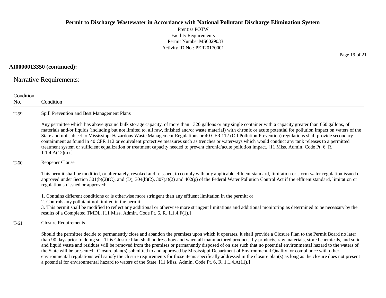Prentiss POTW Facility Requirements Permit Number:MS0029033 Activity ID No.: PER20170001

### **AI0000013350 (continued):**

Narrative Requirements:

| Condition |                                                                                                                                                                                                                                                                                                                                                                                                                                                                                                                                                                                                                                                                                                                                                                                                                                                                                                                                                    |
|-----------|----------------------------------------------------------------------------------------------------------------------------------------------------------------------------------------------------------------------------------------------------------------------------------------------------------------------------------------------------------------------------------------------------------------------------------------------------------------------------------------------------------------------------------------------------------------------------------------------------------------------------------------------------------------------------------------------------------------------------------------------------------------------------------------------------------------------------------------------------------------------------------------------------------------------------------------------------|
| No.       | Condition                                                                                                                                                                                                                                                                                                                                                                                                                                                                                                                                                                                                                                                                                                                                                                                                                                                                                                                                          |
| $T-59$    | Spill Prevention and Best Management Plans                                                                                                                                                                                                                                                                                                                                                                                                                                                                                                                                                                                                                                                                                                                                                                                                                                                                                                         |
|           | Any permittee which has above ground bulk storage capacity, of more than 1320 gallons or any single container with a capacity greater than 660 gallons, of<br>materials and/or liquids (including but not limited to, all raw, finished and/or waste material) with chronic or acute potential for pollution impact on waters of the<br>State and not subject to Mississippi Hazardous Waste Management Regulations or 40 CFR 112 (Oil Pollution Prevention) regulations shall provide secondary<br>containment as found in 40 CFR 112 or equivalent protective measures such as trenches or waterways which would conduct any tank releases to a permitted<br>treatment system or sufficient equalization or treatment capacity needed to prevent chronic/acute pollution impact. [11 Miss. Admin. Code Pt. 6, R.<br>1.1.4.A(12)(a).                                                                                                              |
| $T-60$    | Reopener Clause                                                                                                                                                                                                                                                                                                                                                                                                                                                                                                                                                                                                                                                                                                                                                                                                                                                                                                                                    |
|           | This permit shall be modified, or alternately, revoked and reissued, to comply with any applicable effluent standard, limitation or storm water regulation issued or<br>approved under Section 301(b)(2)(C), and (D), 304(b)(2), 307(a)(2) and 402(p) of the Federal Water Pollution Control Act if the effluent standard, limitation or<br>regulation so issued or approved:                                                                                                                                                                                                                                                                                                                                                                                                                                                                                                                                                                      |
|           | 1. Contains different conditions or is otherwise more stringent than any effluent limitation in the permit; or<br>2. Controls any pollutant not limited in the permit.<br>3. This permit shall be modified to reflect any additional or otherwise more stringent limitations and additional monitoring as determined to be necessary by the<br>results of a Completed TMDL. [11 Miss. Admin. Code Pt. 6, R. 1.1.4.F(1).]                                                                                                                                                                                                                                                                                                                                                                                                                                                                                                                           |
| $T-61$    | <b>Closure Requirements</b>                                                                                                                                                                                                                                                                                                                                                                                                                                                                                                                                                                                                                                                                                                                                                                                                                                                                                                                        |
|           | Should the permittee decide to permanently close and abandon the premises upon which it operates, it shall provide a Closure Plan to the Permit Board no later<br>than 90 days prior to doing so. This Closure Plan shall address how and when all manufactured products, by-products, raw materials, stored chemicals, and solid<br>and liquid waste and residues will be removed from the premises or permanently disposed of on site such that no potential environmental hazard to the waters of<br>the State will be presented. Closure plan(s) submitted to and approved by Mississippi Department of Environmental Quality for compliance with other<br>environmental regulations will satisfy the closure requirements for those items specifically addressed in the closure plan(s) as long as the closure does not present<br>a potential for environmental hazard to waters of the State. [11 Miss. Admin. Code Pt. 6, R. 1.1.4.A(11).] |

Page 19 of 21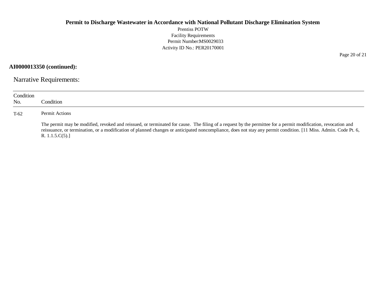Prentiss POTW Facility Requirements Permit Number:MS0029033 Activity ID No.: PER20170001

**AI0000013350 (continued):**

Narrative Requirements:

| Condition<br>No. | Condition                                                                                                                                                                                                                                                                                                                                            |
|------------------|------------------------------------------------------------------------------------------------------------------------------------------------------------------------------------------------------------------------------------------------------------------------------------------------------------------------------------------------------|
| $T-62$           | Permit Actions                                                                                                                                                                                                                                                                                                                                       |
|                  | The permit may be modified, revoked and reissued, or terminated for cause. The filing of a request by the permittee for a permit modification, revocation and<br>reissuance, or termination, or a modification of planned changes or anticipated noncompliance, does not stay any permit condition. [11 Miss. Admin. Code Pt. 6,<br>R. $1.1.5.C(5).$ |

Page 20 of 21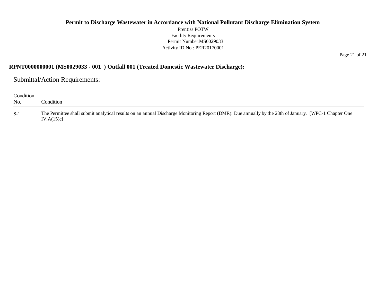### **Permit to Discharge Wastewater in Accordance with National Pollutant Discharge Elimination System** Prentiss POTW Facility Requirements Permit Number:MS0029033 Activity ID No.: PER20170001

Page 21 of 21

### **RPNT0000000001 (MS0029033 - 001 ) Outfall 001 (Treated Domestic Wastewater Discharge):**

Submittal/Action Requirements:

| Condition<br>No. | Condition.                                                                                                                                                         |
|------------------|--------------------------------------------------------------------------------------------------------------------------------------------------------------------|
| $S-1$            | The Permittee shall submit analytical results on an annual Discharge Monitoring Report (DMR): Due annually by the 28th of January. [WPC-1 Chapter One<br>IV.A(15)c |